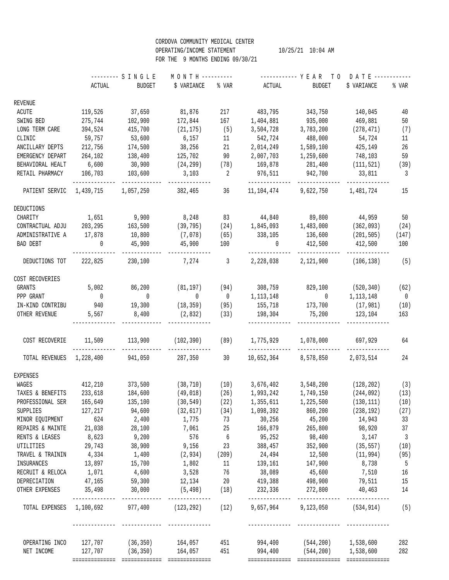## CORDOVA COMMUNITY MEDICAL CENTER OPERATING/INCOME STATEMENT  $10/25/21$   $10:04$  AM FOR THE 9 MONTHS ENDING 09/30/21

|                                                                         | --------- S I N G L E |                                             | MONTH ---------- |      | ----------- YEAR TO DATE------------ |                                                                                   |                   |                          |
|-------------------------------------------------------------------------|-----------------------|---------------------------------------------|------------------|------|--------------------------------------|-----------------------------------------------------------------------------------|-------------------|--------------------------|
|                                                                         |                       | ACTUAL BUDGET                               | \$ VARIANCE      |      | % VAR ACTUAL                         | BUDGET                                                                            | \$ VARIANCE       | % VAR                    |
| REVENUE                                                                 |                       |                                             |                  |      |                                      |                                                                                   |                   |                          |
| ACUTE                                                                   | 119,526               | 37,650                                      | 81,876           | 217  | 483,795                              | 343,750                                                                           | 140,045           | 40                       |
| SWING BED                                                               | 275,744               | 102,900                                     | 172,844          | 167  | 1,404,881                            | 935,000                                                                           | 469,881           | 50                       |
| LONG TERM CARE                                                          | 394,524               | 415,700                                     | (21, 175)        | (5)  | 3,504,728                            | 3,783,200                                                                         | (278, 471)        | (7)                      |
| CLINIC                                                                  | 59,757                | 53,600                                      | 6,157            | 11   | 542,724                              | 488,000                                                                           | 54,724            | 11                       |
| ANCILLARY DEPTS                                                         | 212,756               | 174,500                                     | 38,256           | 21   | 2,014,249                            | 1,589,100                                                                         | 425,149           | 26                       |
| EMERGENCY DEPART                                                        | 264,102               | 138,400                                     | 125,702          |      |                                      | 90 2,007,703 1,259,600                                                            | 748,103           | 59                       |
| BEHAVIORAL HEALT                                                        | 6,600                 | 30,900                                      | $(24, 299)$ (78) |      |                                      | 169,878 281,400 (111,521)                                                         |                   |                          |
|                                                                         |                       |                                             |                  |      |                                      |                                                                                   |                   | (39)                     |
| RETAIL PHARMACY                                                         | 106,703               | 103,600 3,103 2                             |                  |      |                                      | 976,511 942,700 33,811                                                            |                   | $\overline{\mathbf{3}}$  |
|                                                                         |                       | PATIENT SERVIC 1,439,715 1,057,250 382,465  |                  | 36   |                                      | 11,104,474 9,622,750                                                              | 1,481,724         | 15                       |
| DEDUCTIONS                                                              |                       |                                             |                  |      |                                      |                                                                                   |                   |                          |
| CHARITY                                                                 | 1,651                 | 9,900                                       |                  |      |                                      | 8,248 83 44,840 89,800                                                            | 44,959            | 50                       |
| CONTRACTUAL ADJU 203,295                                                |                       |                                             |                  |      |                                      | $163,500$ (39,795) (24) $1,845,093$ $1,483,000$ (362,093)                         |                   | (24)                     |
| ADMINISTRATIVE A 17,878                                                 |                       | $10,800$ (7,078) (65)                       |                  |      |                                      | 338,105 136,600 (201,505)                                                         |                   | (147)                    |
| BAD DEBT                                                                | $\overline{0}$        |                                             | 45,900 45,900    | 100  | $\overline{0}$                       | 412,500 412,500                                                                   |                   | 100                      |
| DEDUCTIONS TOT                                                          |                       | 222,825 230,100 7,274 3                     |                  |      |                                      | 2,228,038 2,121,900                                                               | $(106, 138)$ (5)  |                          |
| COST RECOVERIES                                                         |                       |                                             |                  |      |                                      |                                                                                   |                   |                          |
| GRANTS                                                                  | 5,002                 | 86,200                                      |                  |      |                                      | $(81, 197)$ $(94)$ $308, 759$ $829, 100$ $(520, 340)$                             |                   | (62)                     |
| PPP GRANT                                                               | $\overline{0}$        | $\overline{0}$                              | $\overline{0}$   |      |                                      | $0 \t 1, 113, 148 \t 0$                                                           | 1,113,148         | $\overline{0}$           |
| IN-KIND CONTRIBU                                                        |                       | 940 19,300 (18,359) (95)                    |                  |      |                                      | 155,718 173,700 (17,981)                                                          |                   | (10)                     |
| OTHER REVENUE                                                           | 5,567                 | 8,400                                       | $(2,832)$ (33)   |      |                                      | 198,304 75,200 123,104                                                            |                   | 163                      |
| COST RECOVERIE                                                          | 11,509                | 113,900                                     | (102, 390)       | (89) | 1,775,929                            |                                                                                   | 1,078,000 697,929 | 64                       |
|                                                                         |                       |                                             |                  |      | --------------                       |                                                                                   |                   |                          |
|                                                                         |                       | TOTAL REVENUES 1,228,400 941,050 287,350 30 |                  |      |                                      | 10,652,364 8,578,850 2,073,514                                                    |                   | 24                       |
| <b>EXPENSES</b>                                                         |                       |                                             |                  |      |                                      |                                                                                   |                   |                          |
| WAGES                                                                   |                       |                                             |                  |      |                                      | $412,210$ $373,500$ $(38,710)$ $(10)$ $3,676,402$ $3,548,200$ $(128,202)$ $(3)$   |                   |                          |
| TAXES & BENEFITS 233,618                                                |                       |                                             |                  |      |                                      | 184,600 (49,018) (26) 1,993,242 1,749,150 (244,092)                               |                   | (13)                     |
| PROFESSIONAL SER                                                        |                       | 165,649 135,100 (30,549) (22)               |                  |      | 1,355,611                            | $1,225,500$ (130,111)                                                             |                   | (10)                     |
| SUPPLIES                                                                |                       |                                             |                  |      |                                      | $127,217$ $94,600$ $(32,617)$ $(34)$ $1,098,392$ $860,200$ $(238,192)$            |                   | (27)                     |
| MINOR EQUIPMENT 624 2,400                                               |                       |                                             |                  |      |                                      | 1,775 73 30,256 45,200                                                            | 14,943            | 33                       |
| REPAIRS & MAINTE 21,038                                                 |                       | 28,100                                      |                  |      |                                      | 7,061 25 166,879 265,800 98,920 37                                                |                   |                          |
| RENTS & LEASES 8,623                                                    |                       | 9,200                                       |                  |      |                                      | 576 6 95,252 98,400 3,147                                                         |                   | $\overline{\phantom{a}}$ |
| UTILITIES 29,743 38,900 9,156 23 388,457 352,900 (35,557)               |                       |                                             |                  |      |                                      |                                                                                   |                   | (10)                     |
| TRAVEL & TRAININ                                                        | 4,334                 |                                             |                  |      |                                      | $1,400$ (2,934) (209) 24,494 12,500                                               | (11, 994)         | (95)                     |
| INSURANCES                                                              |                       |                                             |                  |      |                                      | $13,897$ $15,700$ $1,802$ $11$ $139,161$ $147,900$ $8,738$                        |                   | $5^{\circ}$              |
| RECRUIT & RELOCA $1,071$ $4,600$ $3,528$ $76$ $38,089$ $45,600$ $7,510$ |                       |                                             |                  |      |                                      |                                                                                   |                   | 16                       |
| DEPRECIATION 47,165 59,300 12,134 20 419,388 498,900 79,511 15          |                       |                                             |                  |      |                                      |                                                                                   |                   |                          |
| OTHER EXPENSES 35,498 30,000 (5,498) (18) 232,336 272,800 40,463 14     |                       |                                             |                  |      |                                      |                                                                                   |                   |                          |
|                                                                         |                       |                                             |                  |      |                                      | TOTAL EXPENSES 1,100,692 977,400 (123,292) (12) 9,657,964 9,123,050 (534,914) (5) |                   |                          |
|                                                                         |                       |                                             |                  |      |                                      | OPERATING INCO 127,707 (36,350) 164,057 451 994,400 (544,200) 1,538,600           |                   | 282                      |
| NET INCOME                                                              |                       |                                             |                  |      |                                      | $127,707$ (36,350) $164,057$ 451 994,400 (544,200) 1,538,600                      |                   | 282                      |
|                                                                         |                       |                                             |                  |      |                                      |                                                                                   |                   |                          |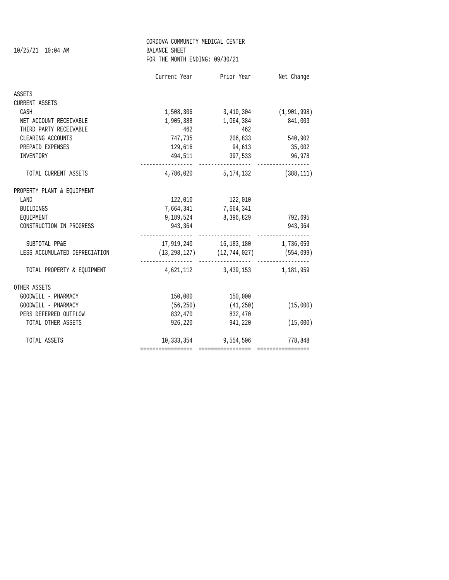|                               | CORDOVA COMMUNITY MEDICAL CENTER |                                                                      |                 |  |  |  |
|-------------------------------|----------------------------------|----------------------------------------------------------------------|-----------------|--|--|--|
| 10/25/21 10:04 AM             | <b>BALANCE SHEET</b>             |                                                                      |                 |  |  |  |
|                               | FOR THE MONTH ENDING: 09/30/21   |                                                                      |                 |  |  |  |
|                               |                                  | Current Year Prior Year Net Change                                   |                 |  |  |  |
| ASSETS                        |                                  |                                                                      |                 |  |  |  |
| CURRENT ASSETS                |                                  |                                                                      |                 |  |  |  |
| CASH                          |                                  | 1,508,306 3,410,304 (1,901,998)                                      |                 |  |  |  |
| NET ACCOUNT RECEIVABLE        | 1,905,388                        | 1,064,384                                                            | 841,003         |  |  |  |
| THIRD PARTY RECEIVABLE        | 462                              | 462                                                                  |                 |  |  |  |
| CLEARING ACCOUNTS             | 747,735                          |                                                                      | 206,833 540,902 |  |  |  |
| PREPAID EXPENSES              |                                  | 129,616 94,613 35,002                                                |                 |  |  |  |
| INVENTORY                     |                                  | 494,511 397,533 96,978                                               |                 |  |  |  |
| TOTAL CURRENT ASSETS          |                                  | <br>4,786,020 5,174,132 (388,111)                                    |                 |  |  |  |
| PROPERTY PLANT & EQUIPMENT    |                                  |                                                                      |                 |  |  |  |
| LAND                          |                                  | 122,010 122,010                                                      |                 |  |  |  |
| BUILDINGS                     | 7,664,341                        | 7,664,341                                                            |                 |  |  |  |
| EQUIPMENT                     | 9,189,524                        | 8,396,829                                                            | 792,695         |  |  |  |
| CONSTRUCTION IN PROGRESS      | 943,364                          |                                                                      | 943,364         |  |  |  |
| SUBTOTAL PP&E                 |                                  | 17,919,240 16,183,180 1,736,059                                      |                 |  |  |  |
| LESS ACCUMULATED DEPRECIATION |                                  | $(13, 298, 127)$ $(12, 744, 027)$ $(554, 099)$                       |                 |  |  |  |
| TOTAL PROPERTY & EQUIPMENT    |                                  | ----------------- -----------------<br>4,621,112 3,439,153 1,181,959 |                 |  |  |  |
| OTHER ASSETS                  |                                  |                                                                      |                 |  |  |  |
| GOODWILL - PHARMACY           |                                  | 150,000 150,000                                                      |                 |  |  |  |
| GOODWILL - PHARMACY           | (56, 250)                        | (41, 250)                                                            | (15,000)        |  |  |  |
| PERS DEFERRED OUTFLOW         | 832,470                          | 832,470                                                              |                 |  |  |  |
| TOTAL OTHER ASSETS            | 926,220                          | 941,220                                                              | (15,000)        |  |  |  |
| TOTAL ASSETS                  |                                  | 10,333,354 9,554,506 778,848                                         |                 |  |  |  |
|                               | =================                |                                                                      |                 |  |  |  |